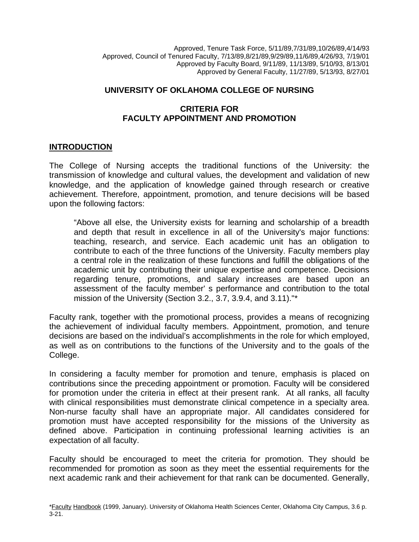Approved, Tenure Task Force, 5/11/89,7/31/89,10/26/89,4/14/93 Approved, Council of Tenured Faculty, 7/13/89,8/21/89,9/29/89,11/6/89,4/26/93, 7/19/01 Approved by Faculty Board, 9/11/89, 11/13/89, 5/10/93, 8/13/01 Approved by General Faculty, 11/27/89, 5/13/93, 8/27/01

### **UNIVERSITY OF OKLAHOMA COLLEGE OF NURSING**

### **CRITERIA FOR FACULTY APPOINTMENT AND PROMOTION**

#### **INTRODUCTION**

The College of Nursing accepts the traditional functions of the University: the transmission of knowledge and cultural values, the development and validation of new knowledge, and the application of knowledge gained through research or creative achievement. Therefore, appointment, promotion, and tenure decisions will be based upon the following factors:

"Above all else, the University exists for learning and scholarship of a breadth and depth that result in excellence in all of the University's major functions: teaching, research, and service. Each academic unit has an obligation to contribute to each of the three functions of the University. Faculty members play a central role in the realization of these functions and fulfill the obligations of the academic unit by contributing their unique expertise and competence. Decisions regarding tenure, promotions, and salary increases are based upon an assessment of the faculty member' s performance and contribution to the total mission of the University (Section 3.2., 3.7, 3.9.4, and 3.11)."\*

Faculty rank, together with the promotional process, provides a means of recognizing the achievement of individual faculty members. Appointment, promotion, and tenure decisions are based on the individual's accomplishments in the role for which employed, as well as on contributions to the functions of the University and to the goals of the College.

In considering a faculty member for promotion and tenure, emphasis is placed on contributions since the preceding appointment or promotion. Faculty will be considered for promotion under the criteria in effect at their present rank. At all ranks, all faculty with clinical responsibilities must demonstrate clinical competence in a specialty area. Non-nurse faculty shall have an appropriate major. All candidates considered for promotion must have accepted responsibility for the missions of the University as defined above. Participation in continuing professional learning activities is an expectation of all faculty.

Faculty should be encouraged to meet the criteria for promotion. They should be recommended for promotion as soon as they meet the essential requirements for the next academic rank and their achievement for that rank can be documented. Generally,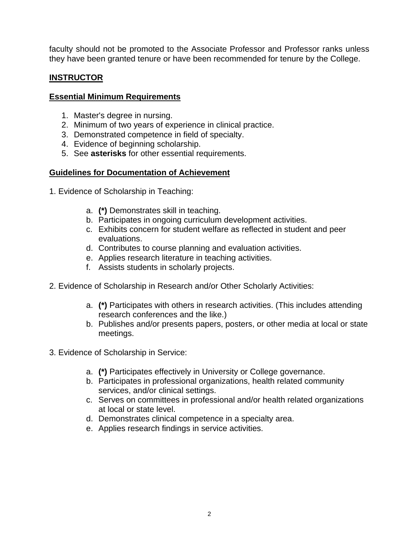faculty should not be promoted to the Associate Professor and Professor ranks unless they have been granted tenure or have been recommended for tenure by the College.

# **INSTRUCTOR**

### **Essential Minimum Requirements**

- 1. Master's degree in nursing.
- 2. Minimum of two years of experience in clinical practice.
- 3. Demonstrated competence in field of specialty.
- 4. Evidence of beginning scholarship.
- 5. See **asterisks** for other essential requirements.

### **Guidelines for Documentation of Achievement**

- 1. Evidence of Scholarship in Teaching:
	- a. **(\*)** Demonstrates skill in teaching.
	- b. Participates in ongoing curriculum development activities.
	- c. Exhibits concern for student welfare as reflected in student and peer evaluations.
	- d. Contributes to course planning and evaluation activities.
	- e. Applies research literature in teaching activities.
	- f. Assists students in scholarly projects.
- 2. Evidence of Scholarship in Research and/or Other Scholarly Activities:
	- a. **(\*)** Participates with others in research activities. (This includes attending research conferences and the like.)
	- b. Publishes and/or presents papers, posters, or other media at local or state meetings.
- 3. Evidence of Scholarship in Service:
	- a. **(\*)** Participates effectively in University or College governance.
	- b. Participates in professional organizations, health related community services, and/or clinical settings.
	- c. Serves on committees in professional and/or health related organizations at local or state level.
	- d. Demonstrates clinical competence in a specialty area.
	- e. Applies research findings in service activities.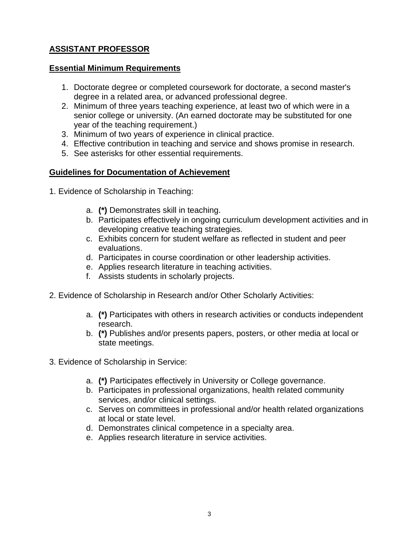# **ASSISTANT PROFESSOR**

### **Essential Minimum Requirements**

- 1. Doctorate degree or completed coursework for doctorate, a second master's degree in a related area, or advanced professional degree.
- 2. Minimum of three years teaching experience, at least two of which were in a senior college or university. (An earned doctorate may be substituted for one year of the teaching requirement.)
- 3. Minimum of two years of experience in clinical practice.
- 4. Effective contribution in teaching and service and shows promise in research.
- 5. See asterisks for other essential requirements.

## **Guidelines for Documentation of Achievement**

- 1. Evidence of Scholarship in Teaching:
	- a. **(\*)** Demonstrates skill in teaching.
	- b. Participates effectively in ongoing curriculum development activities and in developing creative teaching strategies.
	- c. Exhibits concern for student welfare as reflected in student and peer evaluations.
	- d. Participates in course coordination or other leadership activities.
	- e. Applies research literature in teaching activities.
	- f. Assists students in scholarly projects.
- 2. Evidence of Scholarship in Research and/or Other Scholarly Activities:
	- a. **(\*)** Participates with others in research activities or conducts independent research.
	- b. **(\*)** Publishes and/or presents papers, posters, or other media at local or state meetings.
- 3. Evidence of Scholarship in Service:
	- a. **(\*)** Participates effectively in University or College governance.
	- b. Participates in professional organizations, health related community services, and/or clinical settings.
	- c. Serves on committees in professional and/or health related organizations at local or state level.
	- d. Demonstrates clinical competence in a specialty area.
	- e. Applies research literature in service activities.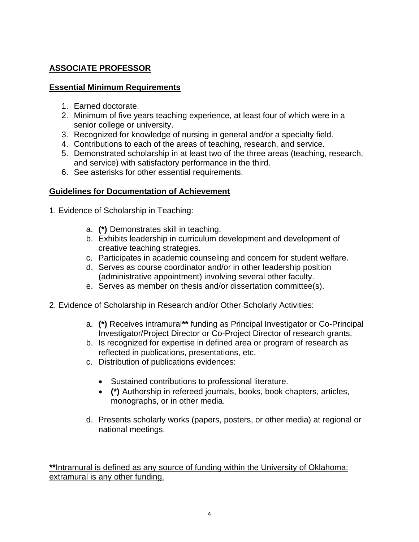# **ASSOCIATE PROFESSOR**

### **Essential Minimum Requirements**

- 1. Earned doctorate.
- 2. Minimum of five years teaching experience, at least four of which were in a senior college or university.
- 3. Recognized for knowledge of nursing in general and/or a specialty field.
- 4. Contributions to each of the areas of teaching, research, and service.
- 5. Demonstrated scholarship in at least two of the three areas (teaching, research, and service) with satisfactory performance in the third.
- 6. See asterisks for other essential requirements.

## **Guidelines for Documentation of Achievement**

- 1. Evidence of Scholarship in Teaching:
	- a. **(\*)** Demonstrates skill in teaching.
	- b. Exhibits leadership in curriculum development and development of creative teaching strategies.
	- c. Participates in academic counseling and concern for student welfare.
	- d. Serves as course coordinator and/or in other leadership position (administrative appointment) involving several other faculty.
	- e. Serves as member on thesis and/or dissertation committee(s).
- 2. Evidence of Scholarship in Research and/or Other Scholarly Activities:
	- a. **(\*)** Receives intramural**\*\*** funding as Principal Investigator or Co-Principal Investigator/Project Director or Co-Project Director of research grants.
	- b. Is recognized for expertise in defined area or program of research as reflected in publications, presentations, etc.
	- c. Distribution of publications evidences:
		- Sustained contributions to professional literature.
		- **(\*)** Authorship in refereed journals, books, book chapters, articles, monographs, or in other media.
	- d. Presents scholarly works (papers, posters, or other media) at regional or national meetings.

**\*\***Intramural is defined as any source of funding within the University of Oklahoma: extramural is any other funding.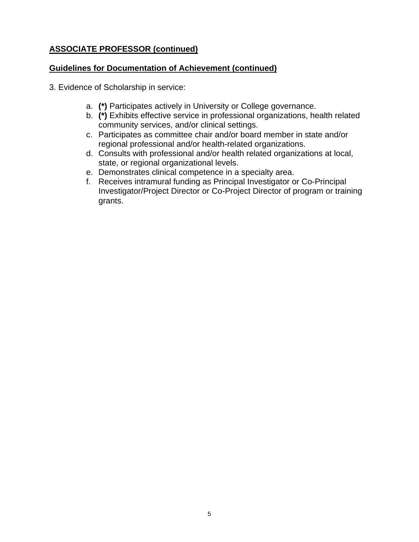# **ASSOCIATE PROFESSOR (continued)**

## **Guidelines for Documentation of Achievement (continued)**

- 3. Evidence of Scholarship in service:
	- a. **(\*)** Participates actively in University or College governance.
	- b. **(\*)** Exhibits effective service in professional organizations, health related community services, and/or clinical settings.
	- c. Participates as committee chair and/or board member in state and/or regional professional and/or health-related organizations.
	- d. Consults with professional and/or health related organizations at local, state, or regional organizational levels.
	- e. Demonstrates clinical competence in a specialty area.
	- f. Receives intramural funding as Principal Investigator or Co-Principal Investigator/Project Director or Co-Project Director of program or training grants.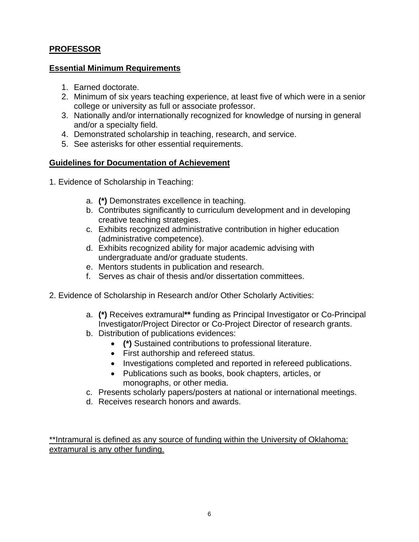# **PROFESSOR**

### **Essential Minimum Requirements**

- 1. Earned doctorate.
- 2. Minimum of six years teaching experience, at least five of which were in a senior college or university as full or associate professor.
- 3. Nationally and/or internationally recognized for knowledge of nursing in general and/or a specialty field.
- 4. Demonstrated scholarship in teaching, research, and service.
- 5. See asterisks for other essential requirements.

### **Guidelines for Documentation of Achievement**

- 1. Evidence of Scholarship in Teaching:
	- a. **(\*)** Demonstrates excellence in teaching.
	- b. Contributes significantly to curriculum development and in developing creative teaching strategies.
	- c. Exhibits recognized administrative contribution in higher education (administrative competence).
	- d. Exhibits recognized ability for major academic advising with undergraduate and/or graduate students.
	- e. Mentors students in publication and research.
	- f. Serves as chair of thesis and/or dissertation committees.
- 2. Evidence of Scholarship in Research and/or Other Scholarly Activities:
	- a. **(\*)** Receives extramural**\*\*** funding as Principal Investigator or Co-Principal Investigator/Project Director or Co-Project Director of research grants.
	- b. Distribution of publications evidences:
		- **(\*)** Sustained contributions to professional literature.
		- First authorship and refereed status.
		- Investigations completed and reported in refereed publications.
		- Publications such as books, book chapters, articles, or monographs, or other media.
	- c. Presents scholarly papers/posters at national or international meetings.
	- d. Receives research honors and awards.

\*\*Intramural is defined as any source of funding within the University of Oklahoma: extramural is any other funding.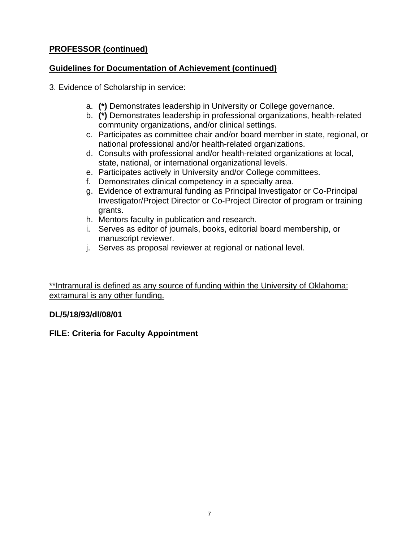# **PROFESSOR (continued)**

## **Guidelines for Documentation of Achievement (continued)**

- 3. Evidence of Scholarship in service:
	- a. **(\*)** Demonstrates leadership in University or College governance.
	- b. **(\*)** Demonstrates leadership in professional organizations, health-related community organizations, and/or clinical settings.
	- c. Participates as committee chair and/or board member in state, regional, or national professional and/or health-related organizations.
	- d. Consults with professional and/or health-related organizations at local, state, national, or international organizational levels.
	- e. Participates actively in University and/or College committees.
	- f. Demonstrates clinical competency in a specialty area.
	- g. Evidence of extramural funding as Principal Investigator or Co-Principal Investigator/Project Director or Co-Project Director of program or training grants.
	- h. Mentors faculty in publication and research.
	- i. Serves as editor of journals, books, editorial board membership, or manuscript reviewer.
	- j. Serves as proposal reviewer at regional or national level.

\*\*Intramural is defined as any source of funding within the University of Oklahoma: extramural is any other funding.

## **DL/5/18/93/dl/08/01**

## **FILE: Criteria for Faculty Appointment**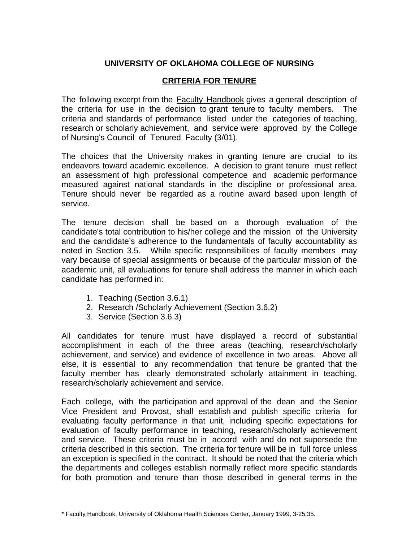## **UNIVERSITY OF OKLAHOMA COLLEGE OF NURSING**

### **CRITERIA FOR TENURE**

The following excerpt from the Faculty Handbook gives a general description of the criteria for use in the decision to grant tenure to faculty members. The criteria and standards of performance listed under the categories of teaching, research or scholarly achievement, and service were approved by the College of Nursing's Council of Tenured Faculty (3/01).

The choices that the University makes in granting tenure are crucial to its endeavors toward academic excellence. A decision to grant tenure must reflect an assessment of high professional competence and academic performance measured against national standards in the discipline or professional area. Tenure should never be regarded as a routine award based upon length of service.

The tenure decision shall be based on a thorough evaluation of the candidate's total contribution to his/her college and the mission of the University and the candidate's adherence to the fundamentals of faculty accountability as noted in Section 3.5. While specific responsibilities of faculty members may vary because of special assignments or because of the particular mission of the academic unit, all evaluations for tenure shall address the manner in which each candidate has performed in:

- 1. Teaching (Section 3.6.1)
- 2. Research /Scholarly Achievement (Section 3.6.2)
- 3. Service (Section 3.6.3)

All candidates for tenure must have displayed a record of substantial accomplishment in each of the three areas (teaching, research/scholarly achievement, and service) and evidence of excellence in two areas. Above all else, it is essential to any recommendation that tenure be granted that the faculty member has clearly demonstrated scholarly attainment in teaching, research/scholarly achievement and service.

Each college, with the participation and approval of the dean and the Senior Vice President and Provost, shall establish and publish specific criteria for evaluating faculty performance in that unit, including specific expectations for evaluation of faculty performance in teaching, research/scholarly achievement and service. These criteria must be in accord with and do not supersede the criteria described in this section. The criteria for tenure will be in full force unless an exception is specified in the contract. It should be noted that the criteria which the departments and colleges establish normally reflect more specific standards for both promotion and tenure than those described in general terms in the

<sup>\*</sup> Faculty Handbook, University of Oklahoma Health Sciences Center, January 1999, 3-25,35.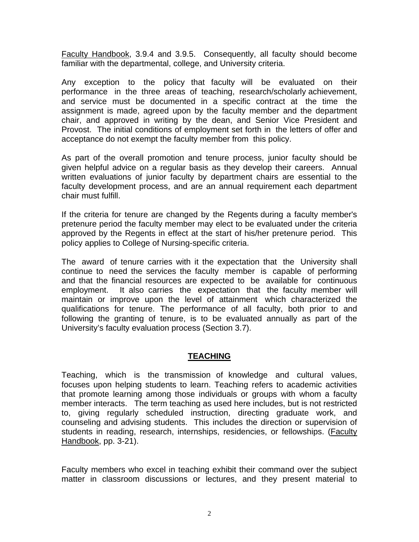Faculty Handbook, 3.9.4 and 3.9.5. Consequently, all faculty should become familiar with the departmental, college, and University criteria.

Any exception to the policy that faculty will be evaluated on their performance in the three areas of teaching, research/scholarly achievement, and service must be documented in a specific contract at the time the assignment is made, agreed upon by the faculty member and the department chair, and approved in writing by the dean, and Senior Vice President and Provost. The initial conditions of employment set forth in the letters of offer and acceptance do not exempt the faculty member from this policy.

As part of the overall promotion and tenure process, junior faculty should be given helpful advice on a regular basis as they develop their careers. Annual written evaluations of junior faculty by department chairs are essential to the faculty development process, and are an annual requirement each department chair must fulfill.

If the criteria for tenure are changed by the Regents during a faculty member's pretenure period the faculty member may elect to be evaluated under the criteria approved by the Regents in effect at the start of his/her pretenure period. This policy applies to College of Nursing-specific criteria.

The award of tenure carries with it the expectation that the University shall continue to need the services the faculty member is capable of performing and that the financial resources are expected to be available for continuous employment. It also carries the expectation that the faculty member will maintain or improve upon the level of attainment which characterized the qualifications for tenure. The performance of all faculty, both prior to and following the granting of tenure, is to be evaluated annually as part of the University's faculty evaluation process (Section 3.7).

#### **TEACHING**

Teaching, which is the transmission of knowledge and cultural values, focuses upon helping students to learn. Teaching refers to academic activities that promote learning among those individuals or groups with whom a faculty member interacts. The term teaching as used here includes, but is not restricted to, giving regularly scheduled instruction, directing graduate work, and counseling and advising students. This includes the direction or supervision of students in reading, research, internships, residencies, or fellowships. (Faculty Handbook, pp. 3-21).

Faculty members who excel in teaching exhibit their command over the subject matter in classroom discussions or lectures, and they present material to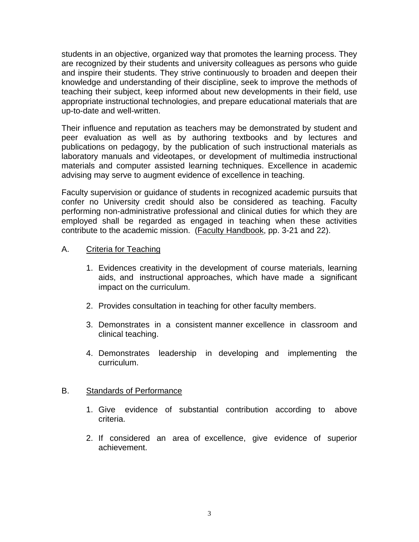students in an objective, organized way that promotes the learning process. They are recognized by their students and university colleagues as persons who guide and inspire their students. They strive continuously to broaden and deepen their knowledge and understanding of their discipline, seek to improve the methods of teaching their subject, keep informed about new developments in their field, use appropriate instructional technologies, and prepare educational materials that are up-to-date and well-written.

Their influence and reputation as teachers may be demonstrated by student and peer evaluation as well as by authoring textbooks and by lectures and publications on pedagogy, by the publication of such instructional materials as laboratory manuals and videotapes, or development of multimedia instructional materials and computer assisted learning techniques. Excellence in academic advising may serve to augment evidence of excellence in teaching.

Faculty supervision or guidance of students in recognized academic pursuits that confer no University credit should also be considered as teaching. Faculty performing non-administrative professional and clinical duties for which they are employed shall be regarded as engaged in teaching when these activities contribute to the academic mission. (Faculty Handbook, pp. 3-21 and 22).

#### A. Criteria for Teaching

- 1. Evidences creativity in the development of course materials, learning aids, and instructional approaches, which have made a significant impact on the curriculum.
- 2. Provides consultation in teaching for other faculty members.
- 3. Demonstrates in a consistent manner excellence in classroom and clinical teaching.
- 4. Demonstrates leadership in developing and implementing the curriculum.

#### B. Standards of Performance

- 1. Give evidence of substantial contribution according to above criteria.
- 2. If considered an area of excellence, give evidence of superior achievement.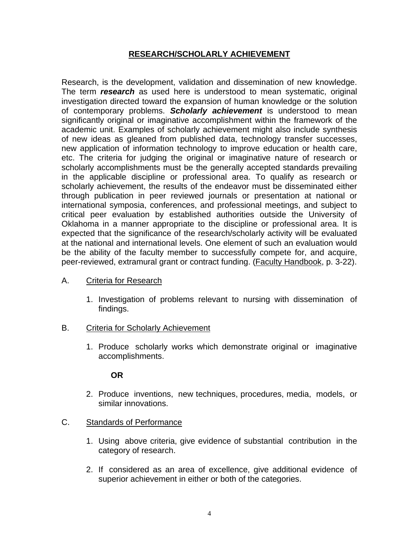### **RESEARCH/SCHOLARLY ACHIEVEMENT**

Research, is the development, validation and dissemination of new knowledge. The term *research* as used here is understood to mean systematic, original investigation directed toward the expansion of human knowledge or the solution of contemporary problems. *Scholarly achievement* is understood to mean significantly original or imaginative accomplishment within the framework of the academic unit. Examples of scholarly achievement might also include synthesis of new ideas as gleaned from published data, technology transfer successes, new application of information technology to improve education or health care, etc. The criteria for judging the original or imaginative nature of research or scholarly accomplishments must be the generally accepted standards prevailing in the applicable discipline or professional area. To qualify as research or scholarly achievement, the results of the endeavor must be disseminated either through publication in peer reviewed journals or presentation at national or international symposia, conferences, and professional meetings, and subject to critical peer evaluation by established authorities outside the University of Oklahoma in a manner appropriate to the discipline or professional area. It is expected that the significance of the research/scholarly activity will be evaluated at the national and international levels. One element of such an evaluation would be the ability of the faculty member to successfully compete for, and acquire, peer-reviewed, extramural grant or contract funding. (Faculty Handbook, p. 3-22).

#### A. Criteria for Research

- 1. Investigation of problems relevant to nursing with dissemination of findings.
- B. Criteria for Scholarly Achievement
	- 1. Produce scholarly works which demonstrate original or imaginative accomplishments.

#### **OR**

2. Produce inventions, new techniques, procedures, media, models, or similar innovations.

#### C. Standards of Performance

- 1. Using above criteria, give evidence of substantial contribution in the category of research.
- 2. If considered as an area of excellence, give additional evidence of superior achievement in either or both of the categories.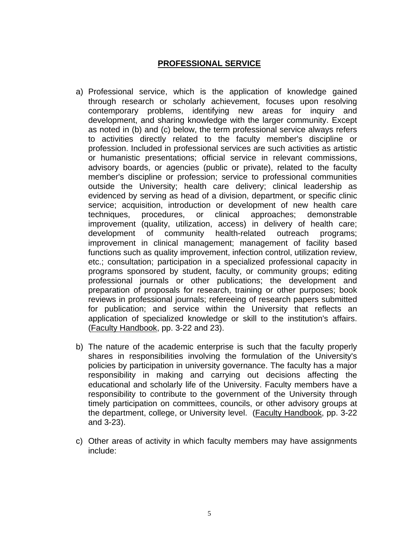## **PROFESSIONAL SERVICE**

- a) Professional service, which is the application of knowledge gained through research or scholarly achievement, focuses upon resolving contemporary problems, identifying new areas for inquiry and development, and sharing knowledge with the larger community. Except as noted in (b) and (c) below, the term professional service always refers to activities directly related to the faculty member's discipline or profession. Included in professional services are such activities as artistic or humanistic presentations; official service in relevant commissions, advisory boards, or agencies (public or private), related to the faculty member's discipline or profession; service to professional communities outside the University; health care delivery; clinical leadership as evidenced by serving as head of a division, department, or specific clinic service; acquisition, introduction or development of new health care techniques, procedures, or clinical approaches; demonstrable improvement (quality, utilization, access) in delivery of health care; development of community health-related outreach programs; improvement in clinical management; management of facility based functions such as quality improvement, infection control, utilization review, etc.; consultation; participation in a specialized professional capacity in programs sponsored by student, faculty, or community groups; editing professional journals or other publications; the development and preparation of proposals for research, training or other purposes; book reviews in professional journals; refereeing of research papers submitted for publication; and service within the University that reflects an application of specialized knowledge or skill to the institution's affairs. (Faculty Handbook, pp. 3-22 and 23).
- b) The nature of the academic enterprise is such that the faculty properly shares in responsibilities involving the formulation of the University's policies by participation in university governance. The faculty has a major responsibility in making and carrying out decisions affecting the educational and scholarly life of the University. Faculty members have a responsibility to contribute to the government of the University through timely participation on committees, councils, or other advisory groups at the department, college, or University level. (Faculty Handbook, pp. 3-22 and 3-23).
- c) Other areas of activity in which faculty members may have assignments include: